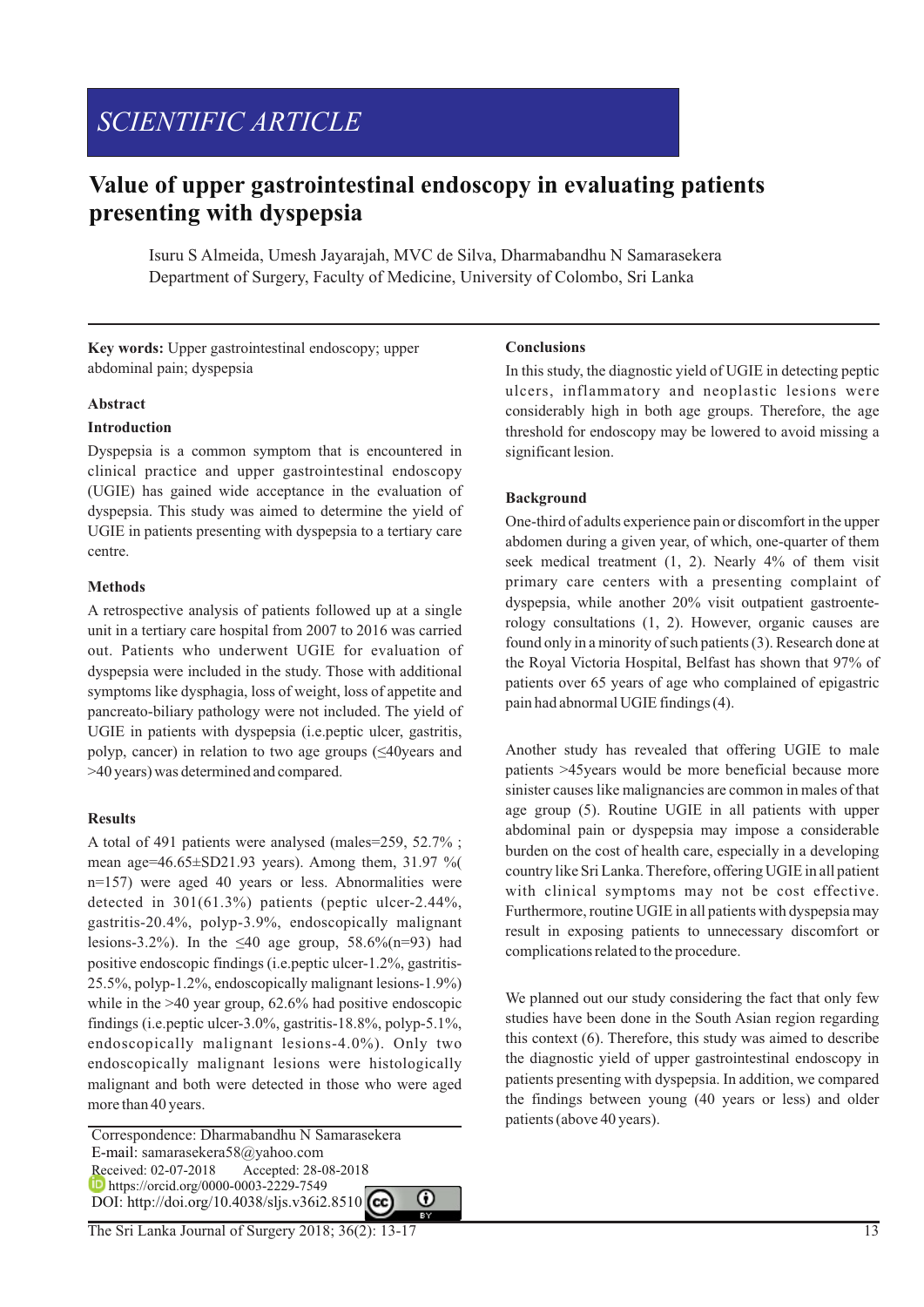## *SCIENTIFIC ARTICLE*

### **Value of upper gastrointestinal endoscopy in evaluating patients presenting with dyspepsia**

Isuru S Almeida, Umesh Jayarajah, MVC de Silva, Dharmabandhu N Samarasekera Department of Surgery, Faculty of Medicine, University of Colombo, Sri Lanka

**Key words:** Upper gastrointestinal endoscopy; upper abdominal pain; dyspepsia

#### **Abstract**

#### **Introduction**

Dyspepsia is a common symptom that is encountered in clinical practice and upper gastrointestinal endoscopy (UGIE) has gained wide acceptance in the evaluation of dyspepsia. This study was aimed to determine the yield of UGIE in patients presenting with dyspepsia to a tertiary care centre.

#### **Methods**

A retrospective analysis of patients followed up at a single unit in a tertiary care hospital from 2007 to 2016 was carried out. Patients who underwent UGIE for evaluation of dyspepsia were included in the study. Those with additional symptoms like dysphagia, loss of weight, loss of appetite and pancreato-biliary pathology were not included. The yield of UGIE in patients with dyspepsia (i.e.peptic ulcer, gastritis, polyp, cancer) in relation to two age groups (≤40years and >40 years) was determined and compared.

#### **Results**

A total of 491 patients were analysed (males=259, 52.7% ; mean age= $46.65 \pm SD21.93$  years). Among them, 31.97 % n=157) were aged 40 years or less. Abnormalities were detected in 301(61.3%) patients (peptic ulcer-2.44%, gastritis-20.4%, polyp-3.9%, endoscopically malignant lesions-3.2%). In the  $\leq 40$  age group, 58.6%(n=93) had positive endoscopic findings (i.e.peptic ulcer-1.2%, gastritis-25.5%, polyp-1.2%, endoscopically malignant lesions-1.9%) while in the >40 year group, 62.6% had positive endoscopic findings (i.e.peptic ulcer-3.0%, gastritis-18.8%, polyp-5.1%, endoscopically malignant lesions-4.0%). Only two endoscopically malignant lesions were histologically malignant and both were detected in those who were aged more than 40 years.

 Correspondence: Dharmabandhu N Samarasekera E-mail: samarasekera58@yahoo.com Received: 02-07-2018 Accepted: 28-08-2018 **https://orcid.org/0000-0003-2229-7549** DOI: http://doi.org/10.4038/sljs.v36i2.8510 **CC** 

# ⋒

#### **Conclusions**

In this study, the diagnostic yield of UGIE in detecting peptic ulcers, inflammatory and neoplastic lesions were considerably high in both age groups. Therefore, the age threshold for endoscopy may be lowered to avoid missing a significant lesion.

#### **Background**

One-third of adults experience pain or discomfort in the upper abdomen during a given year, of which, one-quarter of them seek medical treatment (1, 2). Nearly 4% of them visit primary care centers with a presenting complaint of dyspepsia, while another 20% visit outpatient gastroenterology consultations (1, 2). However, organic causes are found only in a minority of such patients (3). Research done at the Royal Victoria Hospital, Belfast has shown that 97% of patients over 65 years of age who complained of epigastric pain had abnormal UGIE findings (4).

Another study has revealed that offering UGIE to male patients >45years would be more beneficial because more sinister causes like malignancies are common in males of that age group (5). Routine UGIE in all patients with upper abdominal pain or dyspepsia may impose a considerable burden on the cost of health care, especially in a developing country like Sri Lanka. Therefore, offering UGIE in all patient with clinical symptoms may not be cost effective. Furthermore, routine UGIE in all patients with dyspepsia may result in exposing patients to unnecessary discomfort or complications related to the procedure.

We planned out our study considering the fact that only few studies have been done in the South Asian region regarding this context (6). Therefore, this study was aimed to describe the diagnostic yield of upper gastrointestinal endoscopy in patients presenting with dyspepsia. In addition, we compared the findings between young (40 years or less) and older patients (above 40 years).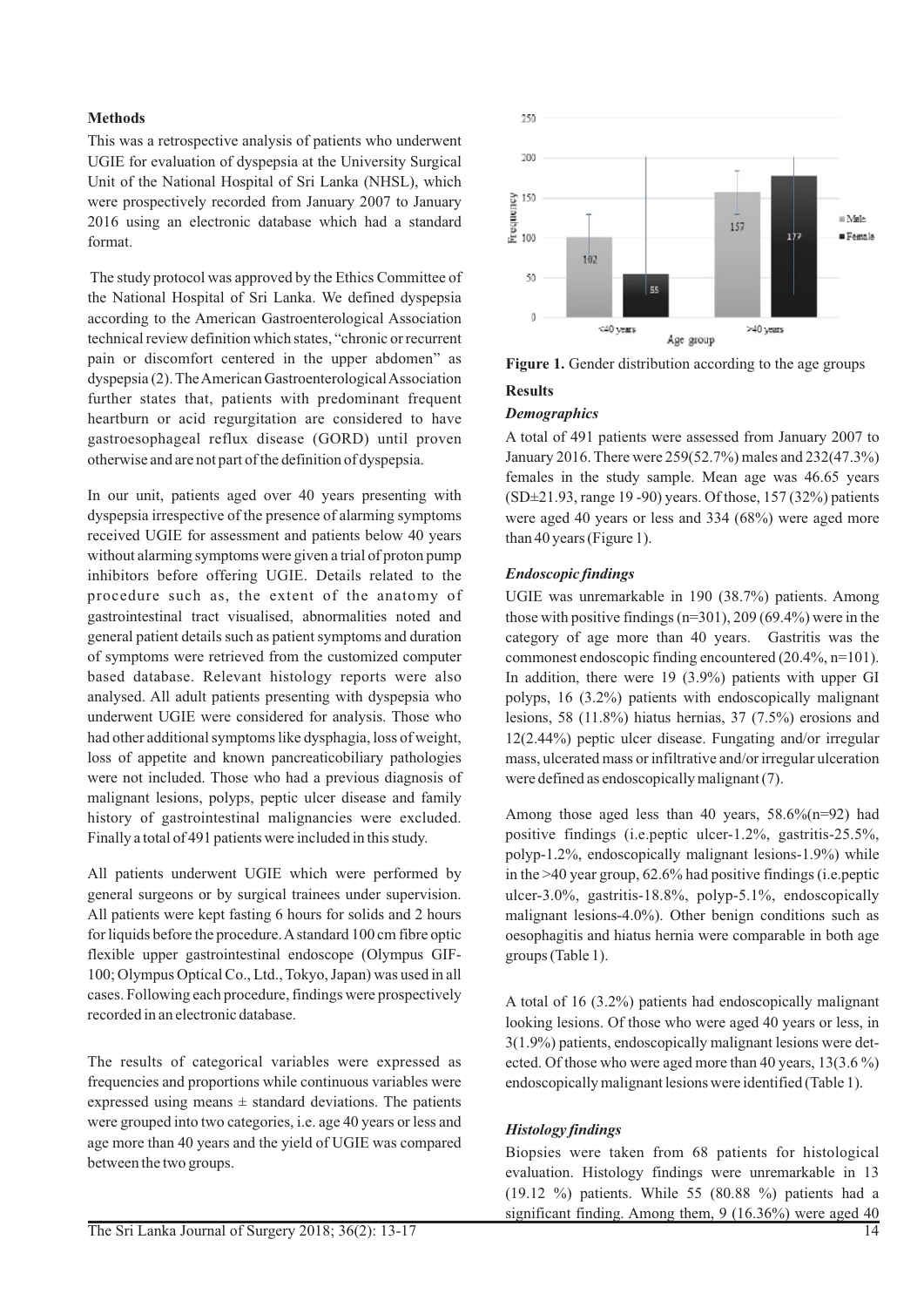#### **Methods**

This was a retrospective analysis of patients who underwent UGIE for evaluation of dyspepsia at the University Surgical Unit of the National Hospital of Sri Lanka (NHSL), which were prospectively recorded from January 2007 to January 2016 using an electronic database which had a standard format.

The study protocol was approved by the Ethics Committee of the National Hospital of Sri Lanka. We defined dyspepsia according to the American Gastroenterological Association technical review definition which states, "chronic or recurrent pain or discomfort centered in the upper abdomen" as dyspepsia (2). The American Gastroenterological Association further states that, patients with predominant frequent heartburn or acid regurgitation are considered to have gastroesophageal reflux disease (GORD) until proven otherwise and are not part of the definition of dyspepsia.

In our unit, patients aged over 40 years presenting with dyspepsia irrespective of the presence of alarming symptoms received UGIE for assessment and patients below 40 years without alarming symptoms were given a trial of proton pump inhibitors before offering UGIE. Details related to the procedure such as, the extent of the anatomy of gastrointestinal tract visualised, abnormalities noted and general patient details such as patient symptoms and duration of symptoms were retrieved from the customized computer based database. Relevant histology reports were also analysed. All adult patients presenting with dyspepsia who underwent UGIE were considered for analysis. Those who had other additional symptoms like dysphagia, loss of weight, loss of appetite and known pancreaticobiliary pathologies were not included. Those who had a previous diagnosis of malignant lesions, polyps, peptic ulcer disease and family history of gastrointestinal malignancies were excluded. Finally a total of 491 patients were included in this study.

All patients underwent UGIE which were performed by general surgeons or by surgical trainees under supervision. All patients were kept fasting 6 hours for solids and 2 hours for liquids before the procedure. Astandard 100 cm fibre optic flexible upper gastrointestinal endoscope (Olympus GIF-100; Olympus Optical Co., Ltd., Tokyo, Japan) was used in all cases. Following each procedure, findings were prospectively recorded in an electronic database.

The results of categorical variables were expressed as frequencies and proportions while continuous variables were expressed using means  $\pm$  standard deviations. The patients were grouped into two categories, i.e. age 40 years or less and age more than 40 years and the yield of UGIE was compared between the two groups.



Figure 1. Gender distribution according to the age groups

#### **Results**

#### *Demographics*

A total of 491 patients were assessed from January 2007 to January 2016. There were 259(52.7%) males and 232(47.3%) females in the study sample. Mean age was 46.65 years (SD±21.93, range 19 -90) years. Of those, 157 (32%) patients were aged 40 years or less and 334 (68%) were aged more than 40 years (Figure 1).

#### *Endoscopic findings*

UGIE was unremarkable in 190 (38.7%) patients. Among those with positive findings (n=301), 209 (69.4%) were in the category of age more than 40 years. Gastritis was the commonest endoscopic finding encountered (20.4%, n=101). In addition, there were 19 (3.9%) patients with upper GI polyps, 16 (3.2%) patients with endoscopically malignant lesions, 58 (11.8%) hiatus hernias, 37 (7.5%) erosions and 12(2.44%) peptic ulcer disease. Fungating and/or irregular mass, ulcerated mass or infiltrative and/or irregular ulceration were defined as endoscopically malignant (7).

Among those aged less than 40 years,  $58.6\frac{6}{(n=92)}$  had positive findings (i.e.peptic ulcer-1.2%, gastritis-25.5%, polyp-1.2%, endoscopically malignant lesions-1.9%) while in the >40 year group, 62.6% had positive findings (i.e.peptic ulcer-3.0%, gastritis-18.8%, polyp-5.1%, endoscopically malignant lesions-4.0%). Other benign conditions such as oesophagitis and hiatus hernia were comparable in both age groups (Table 1).

A total of 16 (3.2%) patients had endoscopically malignant looking lesions. Of those who were aged 40 years or less, in 3(1.9%) patients, endoscopically malignant lesions were detected. Of those who were aged more than 40 years, 13(3.6 %) endoscopically malignant lesions were identified (Table 1).

#### *Histology findings*

Biopsies were taken from 68 patients for histological evaluation. Histology findings were unremarkable in 13 (19.12 %) patients. While 55 (80.88 %) patients had a significant finding. Among them,  $9(16.36\%)$  were aged  $\frac{40}{14}$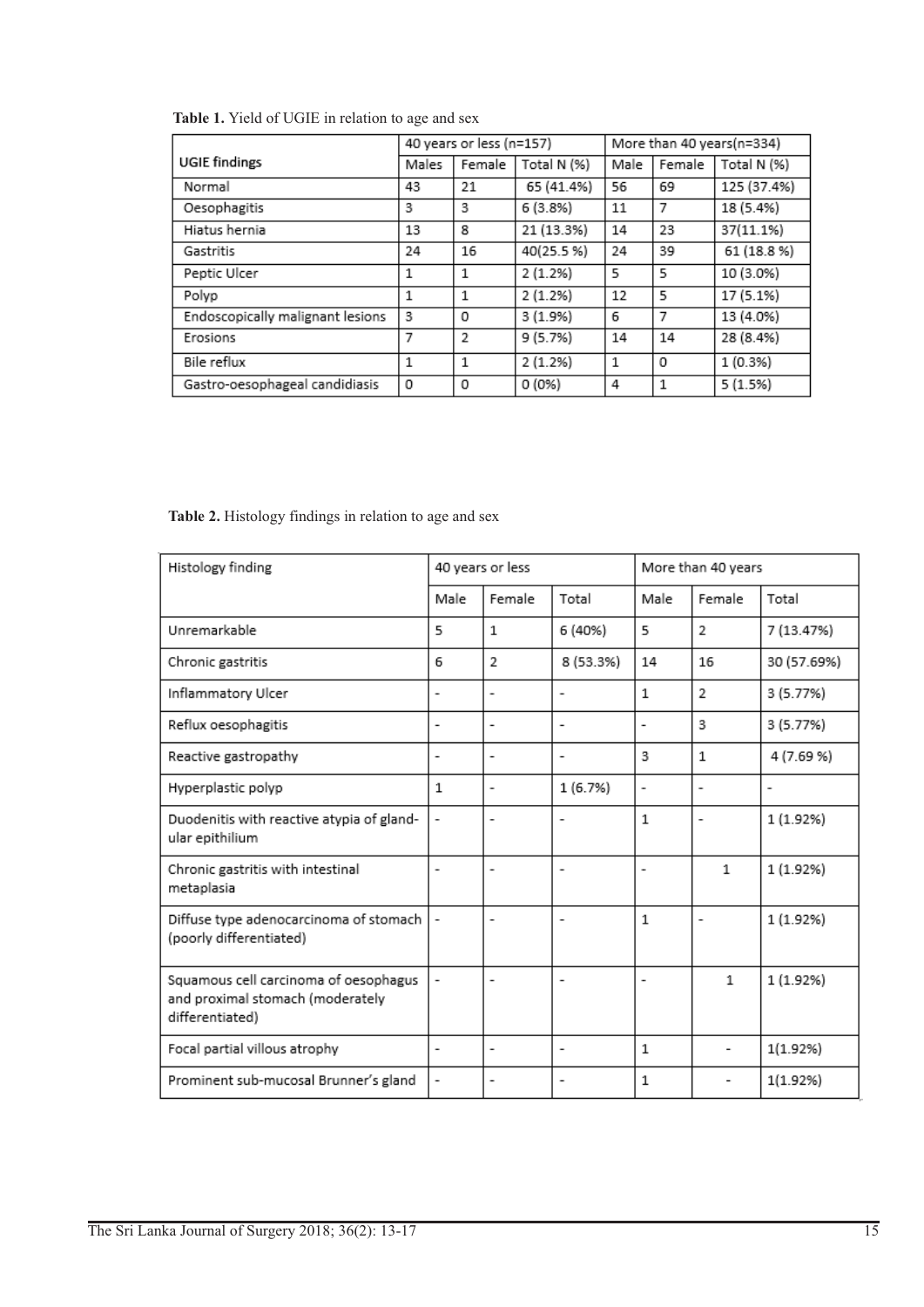|                                  | 40 years or less (n=157) |                |             | More than 40 years(n=334) |        |             |  |  |  |  |  |
|----------------------------------|--------------------------|----------------|-------------|---------------------------|--------|-------------|--|--|--|--|--|
| <b>UGIE</b> findings             | Males                    | Female         | Total N (%) | Male                      | Female | Total N (%) |  |  |  |  |  |
| Normal                           | 43                       | 21             | 65 (41.4%)  | 56                        | 69     | 125 (37.4%) |  |  |  |  |  |
| Oesophagitis                     | 3                        | 3              | 6(3.8%)     | 11                        | 7      | 18 (5.4%)   |  |  |  |  |  |
| Hiatus hernia                    | 13                       | 8              | 21 (13.3%)  | 14                        | 23     | 37(11.1%)   |  |  |  |  |  |
| Gastritis                        | 24                       | 16             | 40(25.5%)   | 24                        | 39     | 61 (18.8%)  |  |  |  |  |  |
| Peptic Ulcer                     | 1                        | 1              | 2(1.2%)     | 5                         | 5      | 10 (3.0%)   |  |  |  |  |  |
| Polyp                            | 1                        | 1              | 2(1.2%)     | 12                        | 5      | 17 (5.1%)   |  |  |  |  |  |
| Endoscopically malignant lesions | 3                        | 0              | 3(1.9%      | 6                         | 7      | 13 (4.0%)   |  |  |  |  |  |
| Erosions                         | 7                        | $\overline{2}$ | 9 (5.7%)    | 14                        | 14     | 28 (8.4%)   |  |  |  |  |  |
| Bile reflux                      | 1                        | 1              | 2(1.2%)     | 1                         | 0      | 1 (0.3%)    |  |  |  |  |  |
| Gastro-oesophageal candidiasis   | 0                        | 0              | 0 (0%)      | 4                         | 1      | 5(1.5%)     |  |  |  |  |  |

**Table 1.** Yield of UGIE in relation to age and sex

**Table 2.** Histology findings in relation to age and sex

| Histology finding                                                                            | 40 years or less         |                          |                          | More than 40 years       |                          |                          |
|----------------------------------------------------------------------------------------------|--------------------------|--------------------------|--------------------------|--------------------------|--------------------------|--------------------------|
|                                                                                              | Male                     | Female                   | Total                    | Male                     | Female                   | Total                    |
| Unremarkable                                                                                 | 5                        | $\mathbf{1}$             | 6 (40%)                  | 5                        | $\overline{2}$           | 7 (13.47%)               |
| Chronic gastritis                                                                            | 6                        | $\overline{2}$           | 8 (53.3%)                | 14                       | 16                       | 30 (57.69%)              |
| Inflammatory Ulcer                                                                           | $\overline{a}$           | $\blacksquare$           | $\overline{\phantom{a}}$ | 1                        | $\mathcal{P}$            | 3 (5.77%)                |
| Reflux oesophagitis                                                                          | $\overline{a}$           | $\overline{\phantom{a}}$ | $\overline{a}$           | $\overline{a}$           | 3                        | 3 (5.77%)                |
| Reactive gastropathy                                                                         | -                        | $\overline{\phantom{a}}$ | -                        | 3                        | $\mathbf{1}$             | 4 (7.69 %)               |
| Hyperplastic polyp                                                                           | 1                        | $\overline{\phantom{a}}$ | 1 (6.7%)                 | $\overline{\phantom{0}}$ | $\overline{\phantom{a}}$ | $\overline{\phantom{a}}$ |
| Duodenitis with reactive atypia of gland-<br>ular epithilium                                 | -                        | $\overline{\phantom{a}}$ |                          | 1                        | $\overline{\phantom{0}}$ | 1 (1.92%)                |
| Chronic gastritis with intestinal<br>metaplasia                                              | $\overline{a}$           | $\overline{\phantom{a}}$ |                          | $\overline{a}$           | 1                        | 1 (1.92%)                |
| Diffuse type adenocarcinoma of stomach<br>(poorly differentiated)                            |                          | ٠                        | ٠                        | 1                        | $\overline{\phantom{a}}$ | 1 (1.92%)                |
| Squamous cell carcinoma of oesophagus<br>and proximal stomach (moderately<br>differentiated) |                          |                          |                          |                          | $\mathbf{1}$             | 1 (1.92%)                |
| Focal partial villous atrophy                                                                | $\overline{\phantom{a}}$ | $\blacksquare$           | $\overline{\phantom{a}}$ | 1                        |                          | 1(1.92%)                 |
| Prominent sub-mucosal Brunner's gland                                                        | $\overline{\phantom{0}}$ | $\overline{\phantom{a}}$ | $\overline{a}$           | $\mathbf 1$              |                          | 1(1.92%)                 |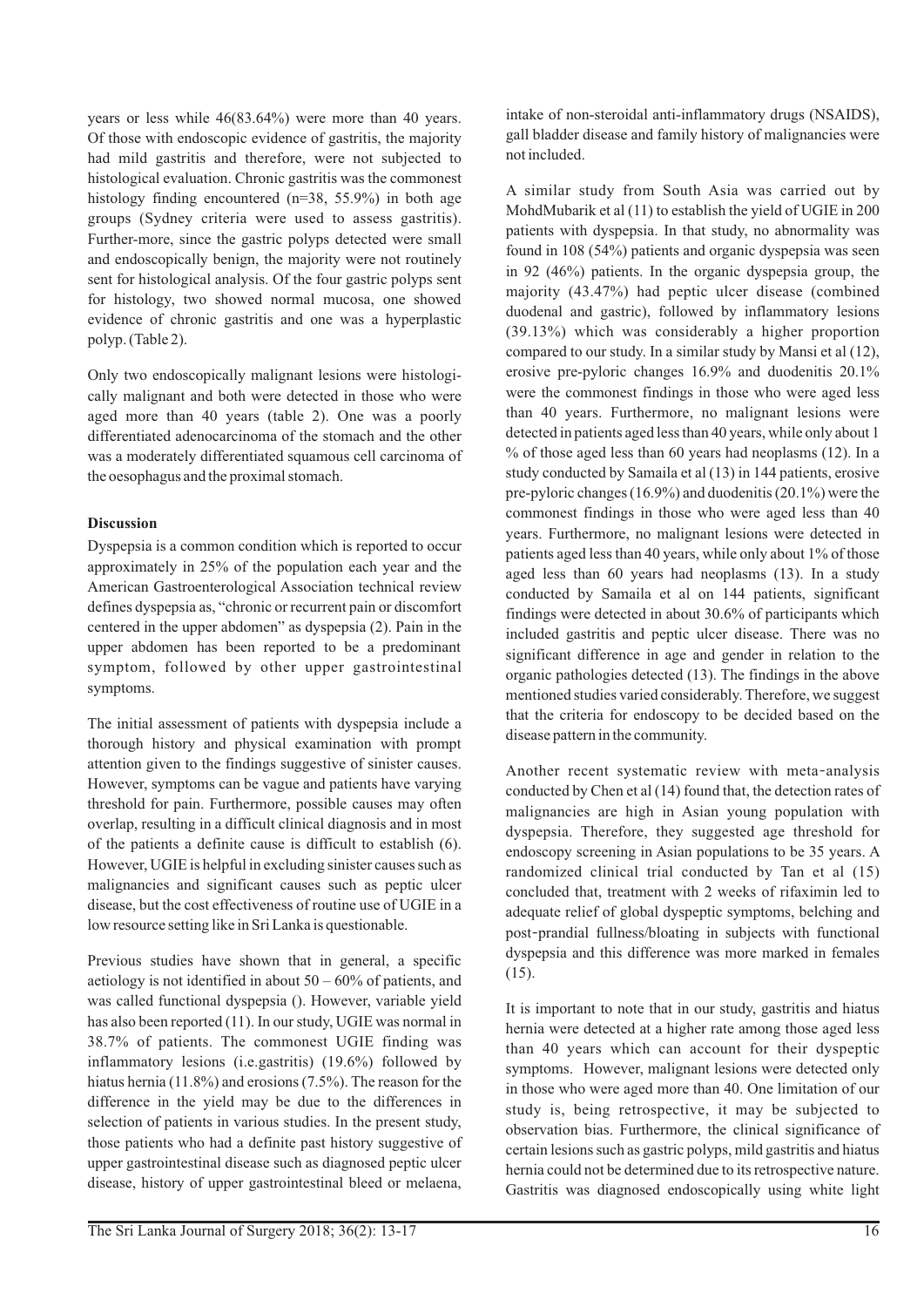years or less while 46(83.64%) were more than 40 years. Of those with endoscopic evidence of gastritis, the majority had mild gastritis and therefore, were not subjected to histological evaluation. Chronic gastritis was the commonest histology finding encountered (n=38, 55.9%) in both age groups (Sydney criteria were used to assess gastritis). Further-more, since the gastric polyps detected were small and endoscopically benign, the majority were not routinely sent for histological analysis. Of the four gastric polyps sent for histology, two showed normal mucosa, one showed evidence of chronic gastritis and one was a hyperplastic polyp. (Table 2).

Only two endoscopically malignant lesions were histologically malignant and both were detected in those who were aged more than 40 years (table 2). One was a poorly differentiated adenocarcinoma of the stomach and the other was a moderately differentiated squamous cell carcinoma of the oesophagus and the proximal stomach.

#### **Discussion**

Dyspepsia is a common condition which is reported to occur approximately in 25% of the population each year and the American Gastroenterological Association technical review defines dyspepsia as, "chronic or recurrent pain or discomfort centered in the upper abdomen" as dyspepsia (2). Pain in the upper abdomen has been reported to be a predominant symptom, followed by other upper gastrointestinal symptoms.

The initial assessment of patients with dyspepsia include a thorough history and physical examination with prompt attention given to the findings suggestive of sinister causes. However, symptoms can be vague and patients have varying threshold for pain. Furthermore, possible causes may often overlap, resulting in a difficult clinical diagnosis and in most of the patients a definite cause is difficult to establish (6). However, UGIE is helpful in excluding sinister causes such as malignancies and significant causes such as peptic ulcer disease, but the cost effectiveness of routine use of UGIE in a low resource setting like in Sri Lanka is questionable.

Previous studies have shown that in general, a specific aetiology is not identified in about  $50 - 60\%$  of patients, and was called functional dyspepsia (). However, variable yield has also been reported (11). In our study, UGIE was normal in 38.7% of patients. The commonest UGIE finding was inflammatory lesions (i.e.gastritis) (19.6%) followed by hiatus hernia (11.8%) and erosions (7.5%). The reason for the difference in the yield may be due to the differences in selection of patients in various studies. In the present study, those patients who had a definite past history suggestive of upper gastrointestinal disease such as diagnosed peptic ulcer disease, history of upper gastrointestinal bleed or melaena,

intake of non-steroidal anti-inflammatory drugs (NSAIDS), gall bladder disease and family history of malignancies were not included.

A similar study from South Asia was carried out by MohdMubarik et al (11) to establish the yield of UGIE in 200 patients with dyspepsia. In that study, no abnormality was found in 108 (54%) patients and organic dyspepsia was seen in 92 (46%) patients. In the organic dyspepsia group, the majority (43.47%) had peptic ulcer disease (combined duodenal and gastric), followed by inflammatory lesions (39.13%) which was considerably a higher proportion compared to our study. In a similar study by Mansi et al (12), erosive pre-pyloric changes 16.9% and duodenitis 20.1% were the commonest findings in those who were aged less than 40 years. Furthermore, no malignant lesions were detected in patients aged less than 40 years, while only about 1  $\%$  of those aged less than 60 years had neoplasms (12). In a study conducted by Samaila et al (13) in 144 patients, erosive pre-pyloric changes (16.9%) and duodenitis (20.1%) were the commonest findings in those who were aged less than 40 years. Furthermore, no malignant lesions were detected in patients aged less than 40 years, while only about 1% of those aged less than 60 years had neoplasms (13). In a study conducted by Samaila et al on 144 patients, significant findings were detected in about 30.6% of participants which included gastritis and peptic ulcer disease. There was no significant difference in age and gender in relation to the organic pathologies detected (13). The findings in the above mentioned studies varied considerably. Therefore, we suggest that the criteria for endoscopy to be decided based on the disease pattern in the community.

Another recent systematic review with meta‐analysis conducted by Chen et al (14) found that, the detection rates of malignancies are high in Asian young population with dyspepsia. Therefore, they suggested age threshold for endoscopy screening in Asian populations to be 35 years. A randomized clinical trial conducted by Tan et al (15) concluded that, treatment with 2 weeks of rifaximin led to adequate relief of global dyspeptic symptoms, belching and post‐prandial fullness/bloating in subjects with functional dyspepsia and this difference was more marked in females (15).

It is important to note that in our study, gastritis and hiatus hernia were detected at a higher rate among those aged less than 40 years which can account for their dyspeptic symptoms. However, malignant lesions were detected only in those who were aged more than 40. One limitation of our study is, being retrospective, it may be subjected to observation bias. Furthermore, the clinical significance of certain lesions such as gastric polyps, mild gastritis and hiatus hernia could not be determined due to its retrospective nature. Gastritis was diagnosed endoscopically using white light